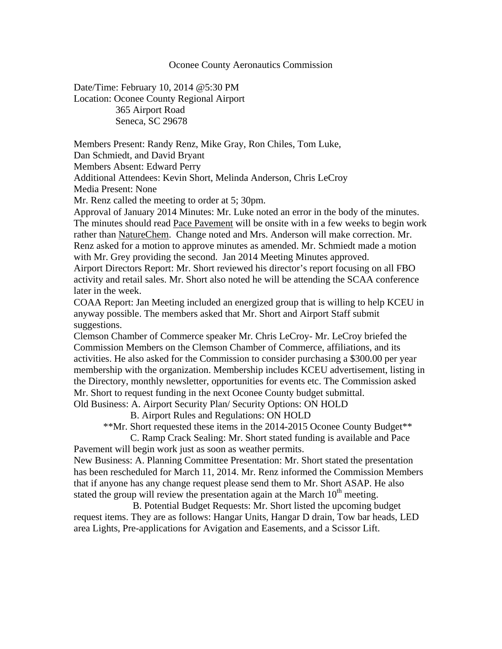## Oconee County Aeronautics Commission

Date/Time: February 10, 2014 @5:30 PM Location: Oconee County Regional Airport 365 Airport Road Seneca, SC 29678

Members Present: Randy Renz, Mike Gray, Ron Chiles, Tom Luke, Dan Schmiedt, and David Bryant

Members Absent: Edward Perry

Additional Attendees: Kevin Short, Melinda Anderson, Chris LeCroy

Media Present: None

Mr. Renz called the meeting to order at 5; 30pm.

Approval of January 2014 Minutes: Mr. Luke noted an error in the body of the minutes. The minutes should read Pace Pavement will be onsite with in a few weeks to begin work rather than NatureChem. Change noted and Mrs. Anderson will make correction. Mr. Renz asked for a motion to approve minutes as amended. Mr. Schmiedt made a motion with Mr. Grey providing the second. Jan 2014 Meeting Minutes approved.

Airport Directors Report: Mr. Short reviewed his director's report focusing on all FBO activity and retail sales. Mr. Short also noted he will be attending the SCAA conference later in the week.

COAA Report: Jan Meeting included an energized group that is willing to help KCEU in anyway possible. The members asked that Mr. Short and Airport Staff submit suggestions.

Clemson Chamber of Commerce speaker Mr. Chris LeCroy- Mr. LeCroy briefed the Commission Members on the Clemson Chamber of Commerce, affiliations, and its activities. He also asked for the Commission to consider purchasing a \$300.00 per year membership with the organization. Membership includes KCEU advertisement, listing in the Directory, monthly newsletter, opportunities for events etc. The Commission asked Mr. Short to request funding in the next Oconee County budget submittal. Old Business: A. Airport Security Plan/ Security Options: ON HOLD

B. Airport Rules and Regulations: ON HOLD

\*\*Mr. Short requested these items in the 2014-2015 Oconee County Budget\*\*

 C. Ramp Crack Sealing: Mr. Short stated funding is available and Pace Pavement will begin work just as soon as weather permits.

New Business: A. Planning Committee Presentation: Mr. Short stated the presentation has been rescheduled for March 11, 2014. Mr. Renz informed the Commission Members that if anyone has any change request please send them to Mr. Short ASAP. He also stated the group will review the presentation again at the March  $10<sup>th</sup>$  meeting.

 B. Potential Budget Requests: Mr. Short listed the upcoming budget request items. They are as follows: Hangar Units, Hangar D drain, Tow bar heads, LED area Lights, Pre-applications for Avigation and Easements, and a Scissor Lift.